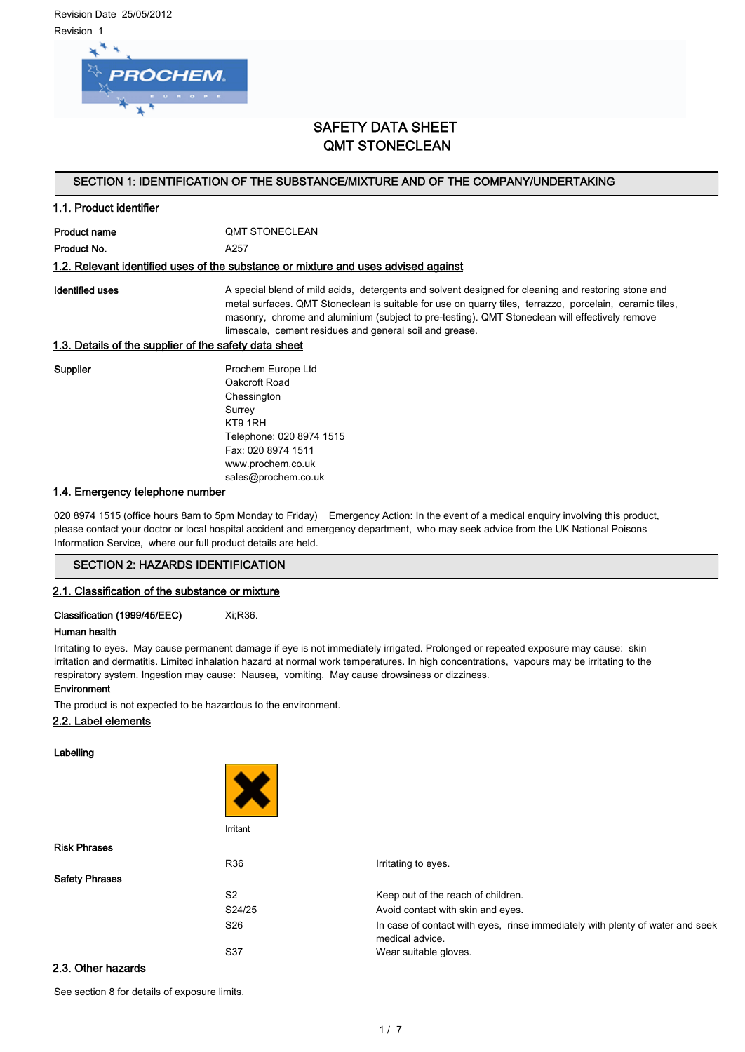Revision Date 25/05/2012 Revision 1



# SAFETY DATA SHEET QMT STONECLEAN

# SECTION 1: IDENTIFICATION OF THE SUBSTANCE/MIXTURE AND OF THE COMPANY/UNDERTAKING

# 1.1. Product identifier

Product name **QMT STONECLEAN** Product No. **A257** 

## 1.2. Relevant identified uses of the substance or mixture and uses advised against

Identified uses **A** special blend of mild acids, detergents and solvent designed for cleaning and restoring stone and metal surfaces. QMT Stoneclean is suitable for use on quarry tiles, terrazzo, porcelain, ceramic tiles, masonry, chrome and aluminium (subject to pre-testing). QMT Stoneclean will effectively remove limescale, cement residues and general soil and grease.

# 1.3. Details of the supplier of the safety data sheet

Supplier **Prochem Europe Ltd** Oakcroft Road **Chessington** Surrey KT9 1RH Telephone: 020 8974 1515 Fax: 020 8974 1511 www.prochem.co.uk sales@prochem.co.uk

# 1.4. Emergency telephone number

020 8974 1515 (office hours 8am to 5pm Monday to Friday) Emergency Action: In the event of a medical enquiry involving this product, please contact your doctor or local hospital accident and emergency department, who may seek advice from the UK National Poisons Information Service, where our full product details are held.

## SECTION 2: HAZARDS IDENTIFICATION

## 2.1. Classification of the substance or mixture

Classification (1999/45/EEC) Xi;R36.

## Human health

Irritating to eyes. May cause permanent damage if eye is not immediately irrigated. Prolonged or repeated exposure may cause: skin irritation and dermatitis. Limited inhalation hazard at normal work temperatures. In high concentrations, vapours may be irritating to the respiratory system. Ingestion may cause: Nausea, vomiting. May cause drowsiness or dizziness.

# Environment

The product is not expected to be hazardous to the environment.

# 2.2. Label elements

Labelling



| <b>Risk Phrases</b>   |                 |                                                                                                  |
|-----------------------|-----------------|--------------------------------------------------------------------------------------------------|
|                       | R36             | Irritating to eyes.                                                                              |
| <b>Safety Phrases</b> |                 |                                                                                                  |
|                       | S <sub>2</sub>  | Keep out of the reach of children.                                                               |
|                       | S24/25          | Avoid contact with skin and eyes.                                                                |
|                       | S <sub>26</sub> | In case of contact with eyes, rinse immediately with plenty of water and seek<br>medical advice. |
|                       | S37             | Wear suitable gloves.                                                                            |
| 2.3 Other hezerde     |                 |                                                                                                  |

# <u>Other ha</u>

See section 8 for details of exposure limits.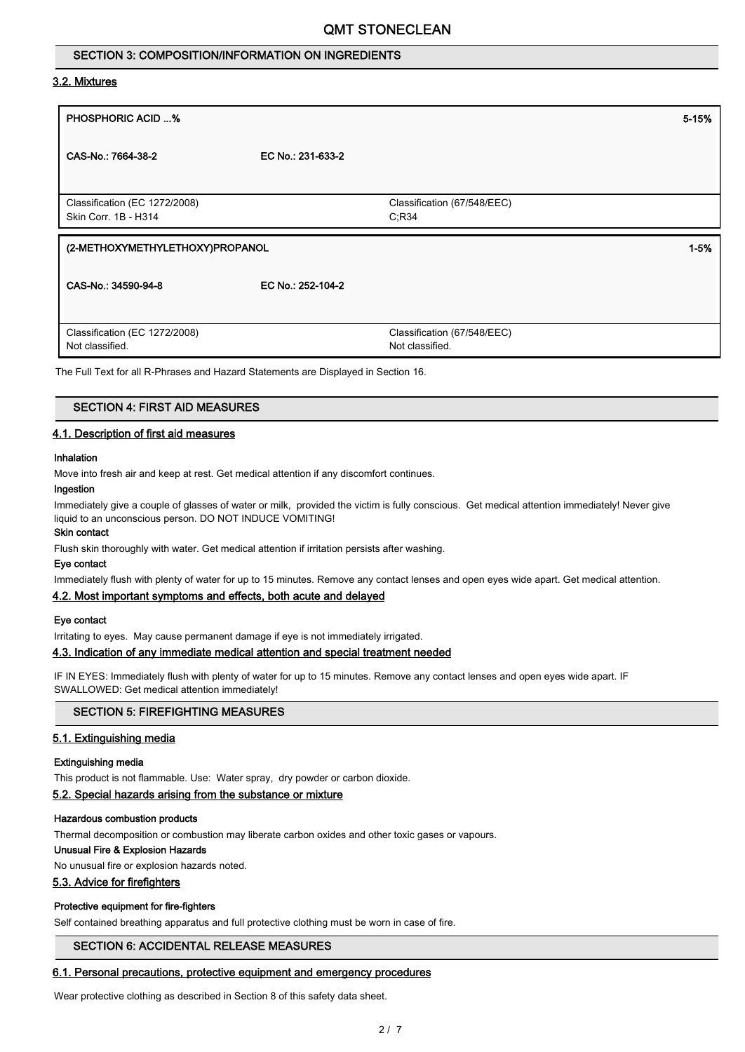# SECTION 3: COMPOSITION/INFORMATION ON INGREDIENTS

# 3.2. Mixtures

| <b>PHOSPHORIC ACID %</b>                              |                   |                             | 5-15%    |
|-------------------------------------------------------|-------------------|-----------------------------|----------|
| CAS-No.: 7664-38-2                                    | EC No.: 231-633-2 |                             |          |
|                                                       |                   |                             |          |
| Classification (EC 1272/2008)<br>Skin Corr. 1B - H314 |                   | Classification (67/548/EEC) |          |
|                                                       |                   | C:R34                       |          |
| (2-METHOXYMETHYLETHOXY)PROPANOL                       |                   |                             | $1 - 5%$ |
|                                                       |                   |                             |          |
|                                                       |                   |                             |          |
| CAS-No.: 34590-94-8                                   | EC No.: 252-104-2 |                             |          |
|                                                       |                   |                             |          |
| Classification (EC 1272/2008)                         |                   | Classification (67/548/EEC) |          |

The Full Text for all R-Phrases and Hazard Statements are Displayed in Section 16.

## SECTION 4: FIRST AID MEASURES

## 4.1. Description of first aid measures

# Inhalation

Move into fresh air and keep at rest. Get medical attention if any discomfort continues.

#### Ingestion

Immediately give a couple of glasses of water or milk, provided the victim is fully conscious. Get medical attention immediately! Never give liquid to an unconscious person. DO NOT INDUCE VOMITING!

# Skin contact

Flush skin thoroughly with water. Get medical attention if irritation persists after washing.

## Eye contact

Immediately flush with plenty of water for up to 15 minutes. Remove any contact lenses and open eyes wide apart. Get medical attention.

# 4.2. Most important symptoms and effects, both acute and delayed

## Eye contact

Irritating to eyes. May cause permanent damage if eye is not immediately irrigated.

# 4.3. Indication of any immediate medical attention and special treatment needed

IF IN EYES: Immediately flush with plenty of water for up to 15 minutes. Remove any contact lenses and open eyes wide apart. IF SWALLOWED: Get medical attention immediately!

# SECTION 5: FIREFIGHTING MEASURES

# 5.1. Extinguishing media

#### Extinguishing media

This product is not flammable. Use: Water spray, dry powder or carbon dioxide.

## 5.2. Special hazards arising from the substance or mixture

#### Hazardous combustion products

Thermal decomposition or combustion may liberate carbon oxides and other toxic gases or vapours.

#### Unusual Fire & Explosion Hazards

No unusual fire or explosion hazards noted.

# 5.3. Advice for firefighters

# Protective equipment for fire-fighters

Self contained breathing apparatus and full protective clothing must be worn in case of fire.

## SECTION 6: ACCIDENTAL RELEASE MEASURES

## 6.1. Personal precautions, protective equipment and emergency procedures

Wear protective clothing as described in Section 8 of this safety data sheet.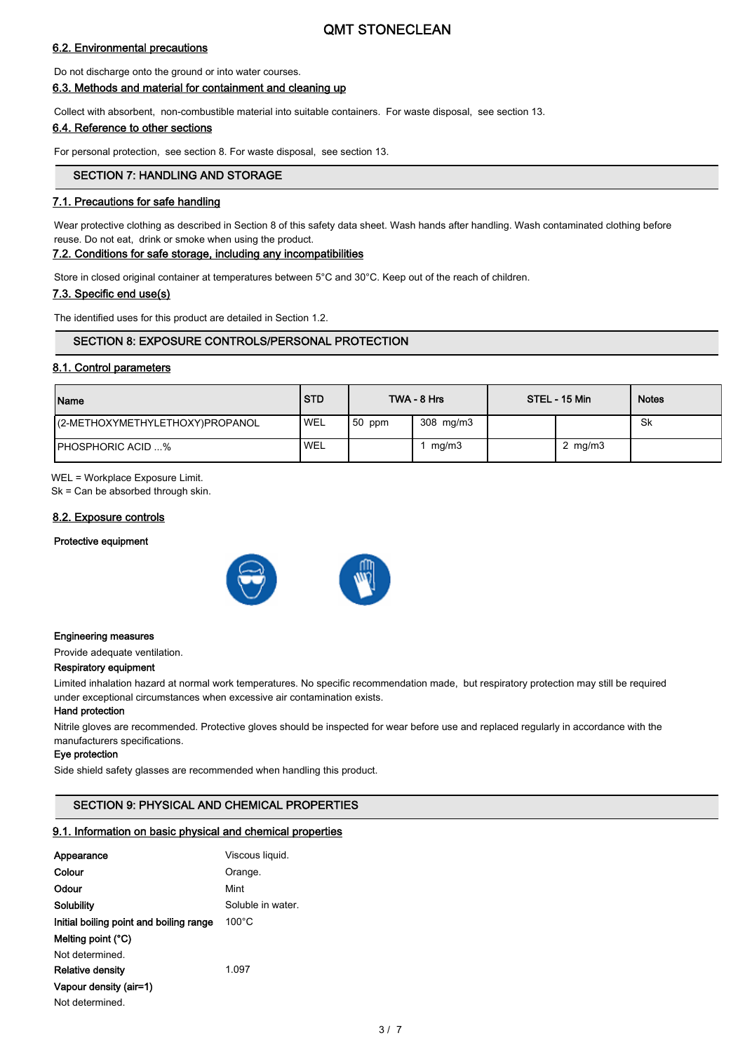# 6.2. Environmental precautions

Do not discharge onto the ground or into water courses.

# 6.3. Methods and material for containment and cleaning up

Collect with absorbent, non-combustible material into suitable containers. For waste disposal, see section 13.

# 6.4. Reference to other sections

For personal protection, see section 8. For waste disposal, see section 13.

# SECTION 7: HANDLING AND STORAGE

# 7.1. Precautions for safe handling

Wear protective clothing as described in Section 8 of this safety data sheet. Wash hands after handling. Wash contaminated clothing before reuse. Do not eat, drink or smoke when using the product.

# 7.2. Conditions for safe storage, including any incompatibilities

Store in closed original container at temperatures between 5°C and 30°C. Keep out of the reach of children.

## 7.3. Specific end use(s)

The identified uses for this product are detailed in Section 1.2.

# SECTION 8: EXPOSURE CONTROLS/PERSONAL PROTECTION

## 8.1. Control parameters

| Name                            | <b>STD</b> |          | TWA - 8 Hrs | STEL - 15 Min | <b>Notes</b> |
|---------------------------------|------------|----------|-------------|---------------|--------------|
| (2-METHOXYMETHYLETHOXY)PROPANOL | <b>WEL</b> | $50$ ppm | 308 mg/m3   |               | .Sk          |
| <b>IPHOSPHORIC ACID %</b>       | <b>WEL</b> |          | mg/m3       | 2 $mg/m3$     |              |

WEL = Workplace Exposure Limit.

Sk = Can be absorbed through skin.

# 8.2. Exposure controls

#### Protective equipment





#### Engineering measures

Provide adequate ventilation.

## Respiratory equipment

Limited inhalation hazard at normal work temperatures. No specific recommendation made, but respiratory protection may still be required under exceptional circumstances when excessive air contamination exists.

#### Hand protection

Nitrile gloves are recommended. Protective gloves should be inspected for wear before use and replaced regularly in accordance with the manufacturers specifications.

#### Eye protection

Side shield safety glasses are recommended when handling this product.

# SECTION 9: PHYSICAL AND CHEMICAL PROPERTIES

# 9.1. Information on basic physical and chemical properties

| Appearance                              | Viscous liquid.   |
|-----------------------------------------|-------------------|
| Colour                                  | Orange.           |
| Odour                                   | Mint              |
| Solubility                              | Soluble in water. |
| Initial boiling point and boiling range | $100^{\circ}$ C   |
| Melting point (°C)                      |                   |
| Not determined                          |                   |
| <b>Relative density</b>                 | 1.097             |
| Vapour density (air=1)                  |                   |
| Not determined.                         |                   |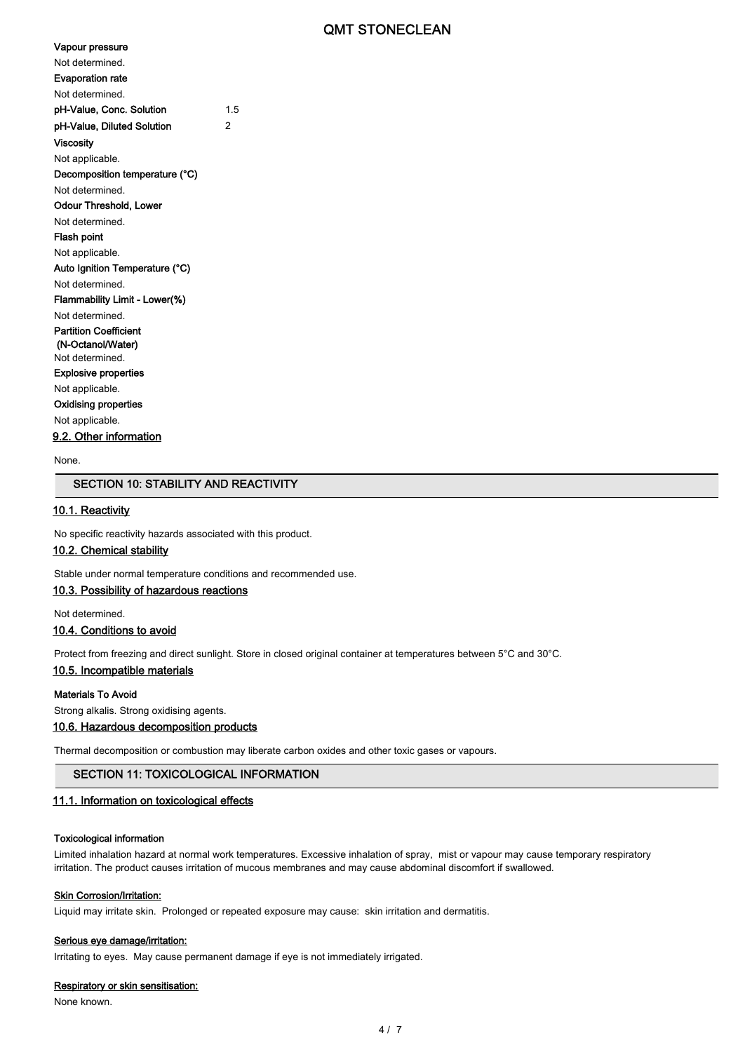| Vapour pressure                |     |
|--------------------------------|-----|
| Not determined                 |     |
| <b>Evaporation rate</b>        |     |
| Not determined.                |     |
| pH-Value, Conc. Solution       | 1.5 |
| pH-Value, Diluted Solution     | 2   |
| Viscosity                      |     |
| Not applicable.                |     |
| Decomposition temperature (°C) |     |
| Not determined                 |     |
| <b>Odour Threshold, Lower</b>  |     |
| Not determined.                |     |
| Flash point                    |     |
| Not applicable.                |     |
| Auto Ignition Temperature (°C) |     |
| Not determined                 |     |
| Flammability Limit - Lower(%)  |     |
| Not determined                 |     |
| <b>Partition Coefficient</b>   |     |
| (N-Octanol/Water)              |     |
| Not determined.                |     |
| <b>Explosive properties</b>    |     |
| Not applicable.                |     |
| <b>Oxidising properties</b>    |     |
| Not applicable.                |     |
| 9.2. Other information         |     |

None.

# SECTION 10: STABILITY AND REACTIVITY

# 10.1. Reactivity

No specific reactivity hazards associated with this product.

# 10.2. Chemical stability

Stable under normal temperature conditions and recommended use.

# 10.3. Possibility of hazardous reactions

Not determined.

#### 10.4. Conditions to avoid

Protect from freezing and direct sunlight. Store in closed original container at temperatures between 5°C and 30°C.

# 10.5. Incompatible materials

#### Materials To Avoid

Strong alkalis. Strong oxidising agents.

# 10.6. Hazardous decomposition products

Thermal decomposition or combustion may liberate carbon oxides and other toxic gases or vapours.

# SECTION 11: TOXICOLOGICAL INFORMATION

#### 11.1. Information on toxicological effects

#### Toxicological information

Limited inhalation hazard at normal work temperatures. Excessive inhalation of spray, mist or vapour may cause temporary respiratory irritation. The product causes irritation of mucous membranes and may cause abdominal discomfort if swallowed.

#### **Skin Corrosion/Irritation:**

Liquid may irritate skin. Prolonged or repeated exposure may cause: skin irritation and dermatitis.

#### Serious eye damage/irritation:

Irritating to eyes. May cause permanent damage if eye is not immediately irrigated.

#### Respiratory or skin sensitisation:

None known.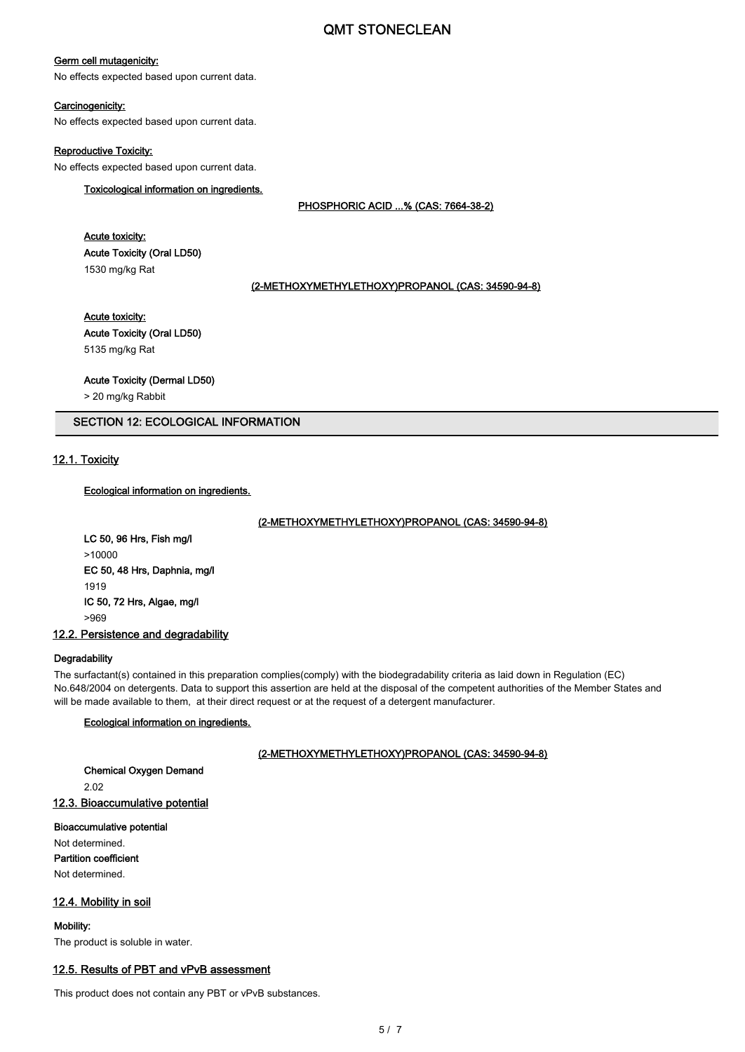# Germ cell mutagenicity:

No effects expected based upon current data.

## Carcinogenicity:

No effects expected based upon current data.

#### Reproductive Toxicity:

No effects expected based upon current data.

# Toxicological information on ingredients.

PHOSPHORIC ACID ...% (CAS: 7664-38-2)

# Acute toxicity: Acute Toxicity (Oral LD50) 1530 mg/kg Rat

#### (2-METHOXYMETHYLETHOXY)PROPANOL (CAS: 34590-94-8)

# Acute toxicity:

Acute Toxicity (Oral LD50) 5135 mg/kg Rat

#### Acute Toxicity (Dermal LD50)

> 20 mg/kg Rabbit

# SECTION 12: ECOLOGICAL INFORMATION

# 12.1. Toxicity

# Ecological information on ingredients.

## (2-METHOXYMETHYLETHOXY)PROPANOL (CAS: 34590-94-8)

LC 50, 96 Hrs, Fish mg/l >10000 EC 50, 48 Hrs, Daphnia, mg/l 1919 IC 50, 72 Hrs, Algae, mg/l >969

12.2. Persistence and degradability

# **Degradability**

The surfactant(s) contained in this preparation complies(comply) with the biodegradability criteria as laid down in Regulation (EC) No.648/2004 on detergents. Data to support this assertion are held at the disposal of the competent authorities of the Member States and will be made available to them, at their direct request or at the request of a detergent manufacturer.

# Ecological information on ingredients.

## (2-METHOXYMETHYLETHOXY)PROPANOL (CAS: 34590-94-8)

Chemical Oxygen Demand 2.02 12.3. Bioaccumulative potential

Bioaccumulative potential Not determined. Partition coefficient Not determined.

## 12.4. Mobility in soil

Mobility: The product is soluble in water.

# 12.5. Results of PBT and vPvB assessment

This product does not contain any PBT or vPvB substances.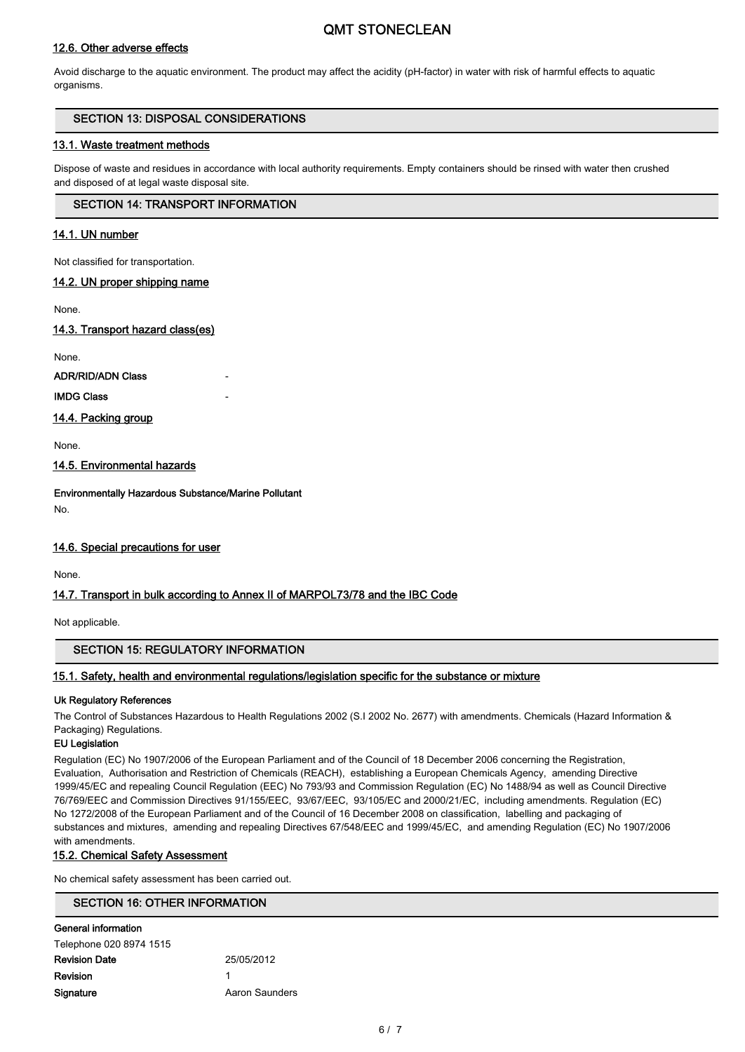# 12.6. Other adverse effects

Avoid discharge to the aquatic environment. The product may affect the acidity (pH-factor) in water with risk of harmful effects to aquatic organisms.

# SECTION 13: DISPOSAL CONSIDERATIONS

# 13.1. Waste treatment methods

Dispose of waste and residues in accordance with local authority requirements. Empty containers should be rinsed with water then crushed and disposed of at legal waste disposal site.

# SECTION 14: TRANSPORT INFORMATION

# 14.1. UN number

Not classified for transportation.

# 14.2. UN proper shipping name

None.

## 14.3. Transport hazard class(es)

None.

ADR/RID/ADN Class

**IMDG Class** 

14.4. Packing group

None.

14.5. Environmental hazards

Environmentally Hazardous Substance/Marine Pollutant No.

# 14.6. Special precautions for user

None.

# 14.7. Transport in bulk according to Annex II of MARPOL73/78 and the IBC Code

Not applicable.

# SECTION 15: REGULATORY INFORMATION

# 15.1. Safety, health and environmental regulations/legislation specific for the substance or mixture

## Uk Regulatory References

The Control of Substances Hazardous to Health Regulations 2002 (S.I 2002 No. 2677) with amendments. Chemicals (Hazard Information & Packaging) Regulations.

# EU Legislation

Regulation (EC) No 1907/2006 of the European Parliament and of the Council of 18 December 2006 concerning the Registration, Evaluation, Authorisation and Restriction of Chemicals (REACH), establishing a European Chemicals Agency, amending Directive 1999/45/EC and repealing Council Regulation (EEC) No 793/93 and Commission Regulation (EC) No 1488/94 as well as Council Directive 76/769/EEC and Commission Directives 91/155/EEC, 93/67/EEC, 93/105/EC and 2000/21/EC, including amendments. Regulation (EC) No 1272/2008 of the European Parliament and of the Council of 16 December 2008 on classification, labelling and packaging of substances and mixtures, amending and repealing Directives 67/548/EEC and 1999/45/EC, and amending Regulation (EC) No 1907/2006 with amendments.

## 15.2. Chemical Safety Assessment

No chemical safety assessment has been carried out.

# SECTION 16: OTHER INFORMATION

| General information     |                |
|-------------------------|----------------|
| Telephone 020 8974 1515 |                |
| Revision Date           | 25/05/2012     |
| Revision                |                |
| Signature               | Aaron Saunders |